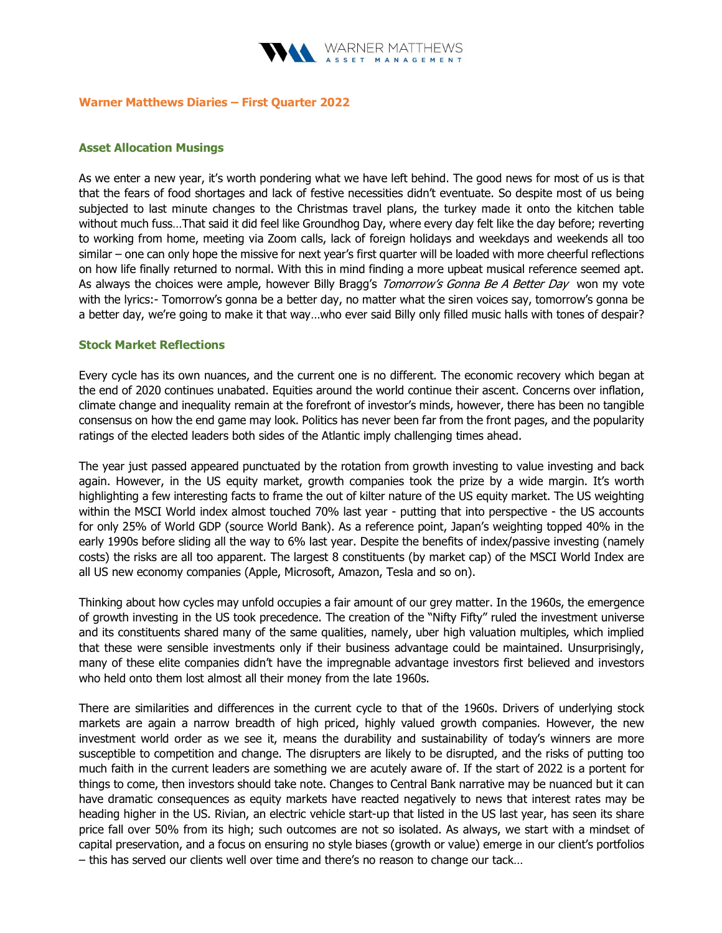

#### Warner Matthews Diaries – First Quarter 2022

### Asset Allocation Musings

As we enter a new year, it's worth pondering what we have left behind. The good news for most of us is that that the fears of food shortages and lack of festive necessities didn't eventuate. So despite most of us being subjected to last minute changes to the Christmas travel plans, the turkey made it onto the kitchen table without much fuss…That said it did feel like Groundhog Day, where every day felt like the day before; reverting to working from home, meeting via Zoom calls, lack of foreign holidays and weekdays and weekends all too similar – one can only hope the missive for next year's first quarter will be loaded with more cheerful reflections on how life finally returned to normal. With this in mind finding a more upbeat musical reference seemed apt. As always the choices were ample, however Billy Bragg's Tomorrow's Gonna Be A Better Day won my vote with the lyrics:- Tomorrow's gonna be a better day, no matter what the siren voices say, tomorrow's gonna be a better day, we're going to make it that way…who ever said Billy only filled music halls with tones of despair?

## Stock Market Reflections

Every cycle has its own nuances, and the current one is no different. The economic recovery which began at the end of 2020 continues unabated. Equities around the world continue their ascent. Concerns over inflation, climate change and inequality remain at the forefront of investor's minds, however, there has been no tangible consensus on how the end game may look. Politics has never been far from the front pages, and the popularity ratings of the elected leaders both sides of the Atlantic imply challenging times ahead.

The year just passed appeared punctuated by the rotation from growth investing to value investing and back again. However, in the US equity market, growth companies took the prize by a wide margin. It's worth highlighting a few interesting facts to frame the out of kilter nature of the US equity market. The US weighting within the MSCI World index almost touched 70% last year - putting that into perspective - the US accounts for only 25% of World GDP (source World Bank). As a reference point, Japan's weighting topped 40% in the early 1990s before sliding all the way to 6% last year. Despite the benefits of index/passive investing (namely costs) the risks are all too apparent. The largest 8 constituents (by market cap) of the MSCI World Index are all US new economy companies (Apple, Microsoft, Amazon, Tesla and so on).

Thinking about how cycles may unfold occupies a fair amount of our grey matter. In the 1960s, the emergence of growth investing in the US took precedence. The creation of the "Nifty Fifty" ruled the investment universe and its constituents shared many of the same qualities, namely, uber high valuation multiples, which implied that these were sensible investments only if their business advantage could be maintained. Unsurprisingly, many of these elite companies didn't have the impregnable advantage investors first believed and investors who held onto them lost almost all their money from the late 1960s.

There are similarities and differences in the current cycle to that of the 1960s. Drivers of underlying stock markets are again a narrow breadth of high priced, highly valued growth companies. However, the new investment world order as we see it, means the durability and sustainability of today's winners are more susceptible to competition and change. The disrupters are likely to be disrupted, and the risks of putting too much faith in the current leaders are something we are acutely aware of. If the start of 2022 is a portent for things to come, then investors should take note. Changes to Central Bank narrative may be nuanced but it can have dramatic consequences as equity markets have reacted negatively to news that interest rates may be heading higher in the US. Rivian, an electric vehicle start-up that listed in the US last year, has seen its share price fall over 50% from its high; such outcomes are not so isolated. As always, we start with a mindset of capital preservation, and a focus on ensuring no style biases (growth or value) emerge in our client's portfolios – this has served our clients well over time and there's no reason to change our tack…